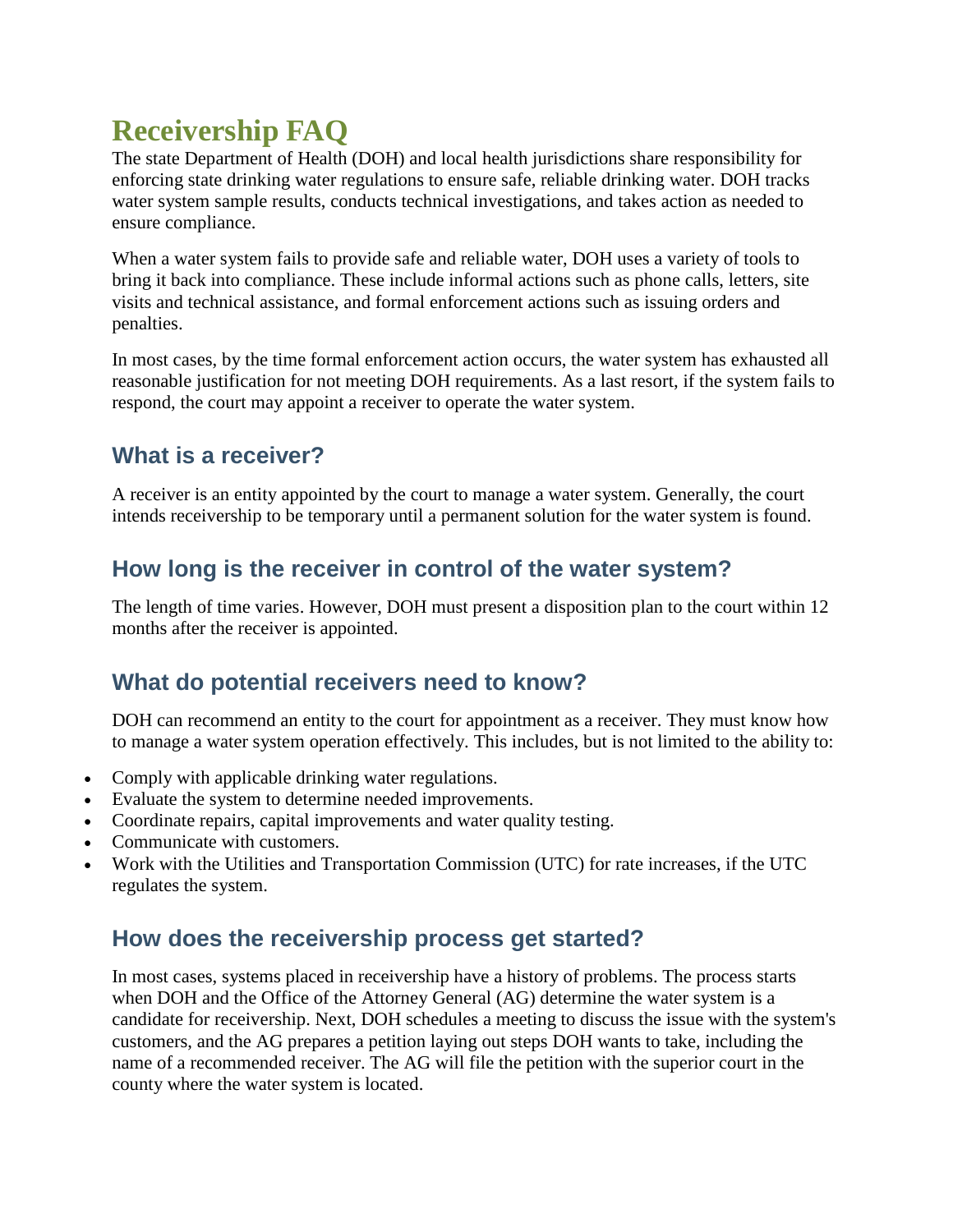# **Receivership FAQ**

The state Department of Health (DOH) and local health jurisdictions share responsibility for enforcing state drinking water regulations to ensure safe, reliable drinking water. DOH tracks water system sample results, conducts technical investigations, and takes action as needed to ensure compliance.

When a water system fails to provide safe and reliable water, DOH uses a variety of tools to bring it back into compliance. These include informal actions such as phone calls, letters, site visits and technical assistance, and formal enforcement actions such as issuing orders and penalties.

In most cases, by the time formal enforcement action occurs, the water system has exhausted all reasonable justification for not meeting DOH requirements. As a last resort, if the system fails to respond, the court may appoint a receiver to operate the water system.

# **What is a receiver?**

A receiver is an entity appointed by the court to manage a water system. Generally, the court intends receivership to be temporary until a permanent solution for the water system is found.

## **How long is the receiver in control of the water system?**

The length of time varies. However, DOH must present a disposition plan to the court within 12 months after the receiver is appointed.

# **What do potential receivers need to know?**

DOH can recommend an entity to the court for appointment as a receiver. They must know how to manage a water system operation effectively. This includes, but is not limited to the ability to:

- Comply with applicable drinking water regulations.
- Evaluate the system to determine needed improvements.
- Coordinate repairs, capital improvements and water quality testing.
- Communicate with customers.
- Work with the Utilities and Transportation Commission (UTC) for rate increases, if the UTC regulates the system.

## **How does the receivership process get started?**

In most cases, systems placed in receivership have a history of problems. The process starts when DOH and the Office of the Attorney General (AG) determine the water system is a candidate for receivership. Next, DOH schedules a meeting to discuss the issue with the system's customers, and the AG prepares a petition laying out steps DOH wants to take, including the name of a recommended receiver. The AG will file the petition with the superior court in the county where the water system is located.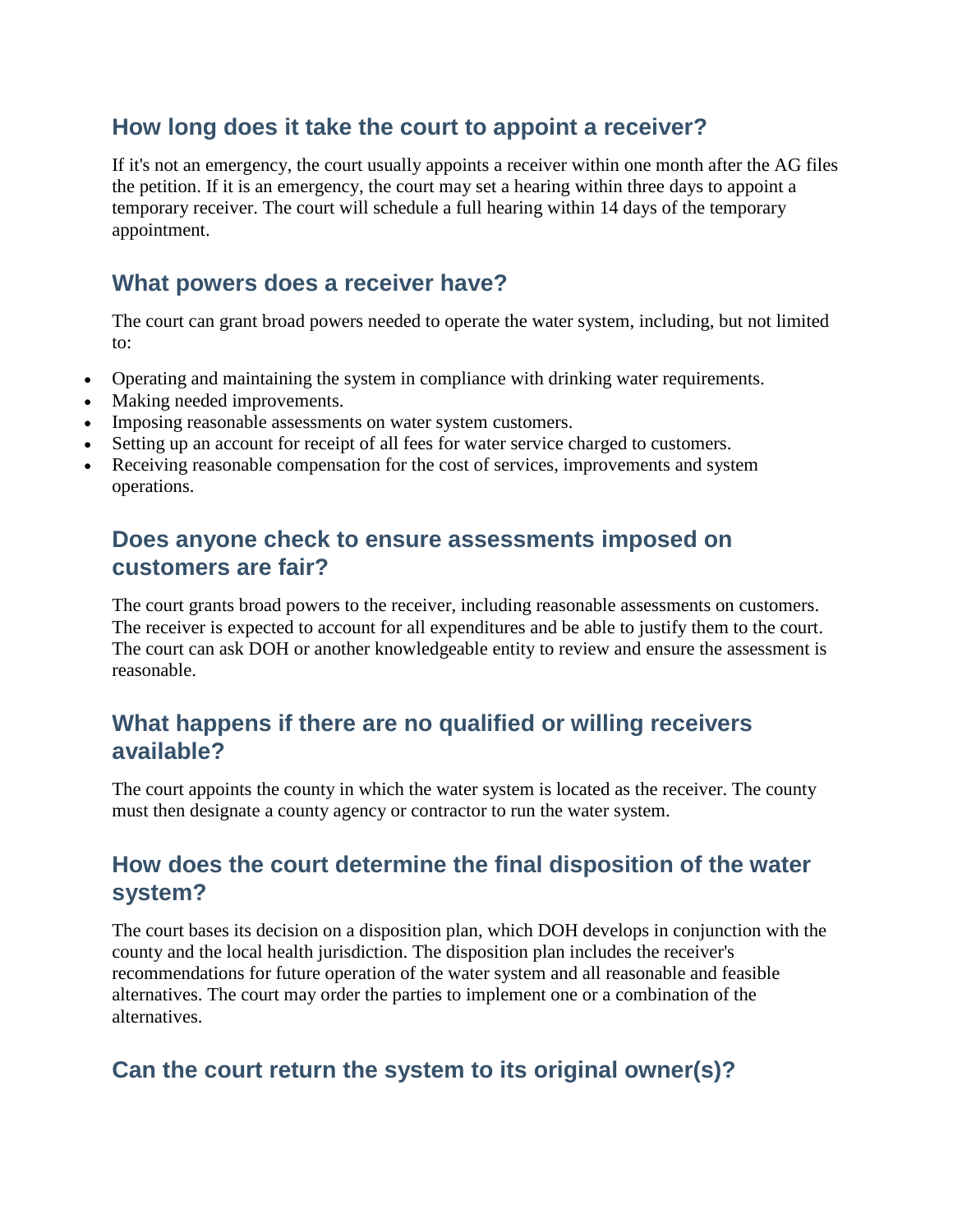### **How long does it take the court to appoint a receiver?**

If it's not an emergency, the court usually appoints a receiver within one month after the AG files the petition. If it is an emergency, the court may set a hearing within three days to appoint a temporary receiver. The court will schedule a full hearing within 14 days of the temporary appointment.

#### **What powers does a receiver have?**

The court can grant broad powers needed to operate the water system, including, but not limited to:

- Operating and maintaining the system in compliance with drinking water requirements.
- Making needed improvements.
- Imposing reasonable assessments on water system customers.
- Setting up an account for receipt of all fees for water service charged to customers.
- Receiving reasonable compensation for the cost of services, improvements and system operations.

#### **Does anyone check to ensure assessments imposed on customers are fair?**

The court grants broad powers to the receiver, including reasonable assessments on customers. The receiver is expected to account for all expenditures and be able to justify them to the court. The court can ask DOH or another knowledgeable entity to review and ensure the assessment is reasonable.

### **What happens if there are no qualified or willing receivers available?**

The court appoints the county in which the water system is located as the receiver. The county must then designate a county agency or contractor to run the water system.

### **How does the court determine the final disposition of the water system?**

The court bases its decision on a disposition plan, which DOH develops in conjunction with the county and the local health jurisdiction. The disposition plan includes the receiver's recommendations for future operation of the water system and all reasonable and feasible alternatives. The court may order the parties to implement one or a combination of the alternatives.

# **Can the court return the system to its original owner(s)?**